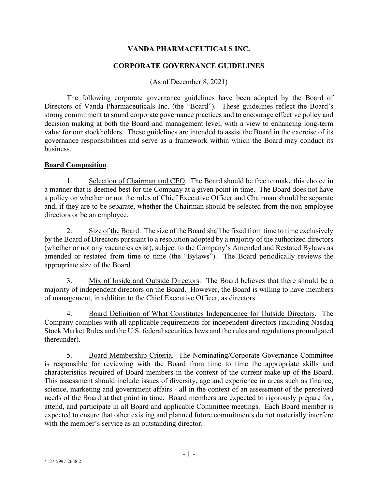### **VANDA PHARMACEUTICALS INC.**

#### **CORPORATE GOVERNANCE GUIDELINES**

(As of December 8, 2021)

The following corporate governance guidelines have been adopted by the Board of Directors of Vanda Pharmaceuticals Inc. (the "Board"). These guidelines reflect the Board's strong commitment to sound corporate governance practices and to encourage effective policy and decision making at both the Board and management level, with a view to enhancing long-term value for our stockholders. These guidelines are intended to assist the Board in the exercise of its governance responsibilities and serve as a framework within which the Board may conduct its business.

### **Board Composition**.

1. Selection of Chairman and CEO. The Board should be free to make this choice in a manner that is deemed best for the Company at a given point in time. The Board does not have a policy on whether or not the roles of Chief Executive Officer and Chairman should be separate and, if they are to be separate, whether the Chairman should be selected from the non-employee directors or be an employee.

2. Size of the Board. The size of the Board shall be fixed from time to time exclusively by the Board of Directors pursuant to a resolution adopted by a majority of the authorized directors (whether or not any vacancies exist), subject to the Company's Amended and Restated Bylaws as amended or restated from time to time (the "Bylaws"). The Board periodically reviews the appropriate size of the Board.

3. Mix of Inside and Outside Directors. The Board believes that there should be a majority of independent directors on the Board. However, the Board is willing to have members of management, in addition to the Chief Executive Officer, as directors.

4. Board Definition of What Constitutes Independence for Outside Directors. The Company complies with all applicable requirements for independent directors (including Nasdaq Stock Market Rules and the U.S. federal securities laws and the rules and regulations promulgated thereunder).

5. Board Membership Criteria. The Nominating/Corporate Governance Committee is responsible for reviewing with the Board from time to time the appropriate skills and characteristics required of Board members in the context of the current make-up of the Board. This assessment should include issues of diversity, age and experience in areas such as finance, science, marketing and government affairs - all in the context of an assessment of the perceived needs of the Board at that point in time. Board members are expected to rigorously prepare for, attend, and participate in all Board and applicable Committee meetings. Each Board member is expected to ensure that other existing and planned future commitments do not materially interfere with the member's service as an outstanding director.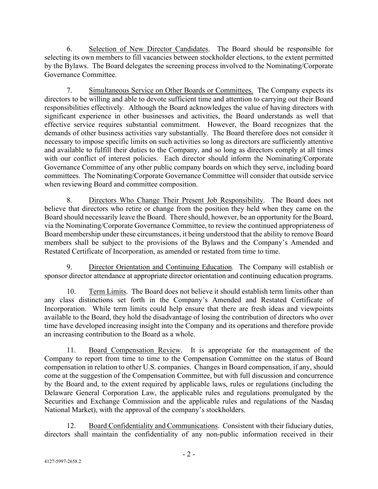6. Selection of New Director Candidates. The Board should be responsible for selecting its own members to fill vacancies between stockholder elections, to the extent permitted by the Bylaws. The Board delegates the screening process involved to the Nominating/Corporate Governance Committee.

7. Simultaneous Service on Other Boards or Committees. The Company expects its directors to be willing and able to devote sufficient time and attention to carrying out their Board responsibilities effectively. Although the Board acknowledges the value of having directors with significant experience in other businesses and activities, the Board understands as well that effective service requires substantial commitment. However, the Board recognizes that the demands of other business activities vary substantially. The Board therefore does not consider it necessary to impose specific limits on such activities so long as directors are sufficiently attentive and available to fulfill their duties to the Company, and so long as directors comply at all times with our conflict of interest policies. Each director should inform the Nominating/Corporate Governance Committee of any other public company boards on which they serve, including board committees. The Nominating/Corporate Governance Committee will consider that outside service when reviewing Board and committee composition.

8. Directors Who Change Their Present Job Responsibility. The Board does not believe that directors who retire or change from the position they held when they came on the Board should necessarily leave the Board. There should, however, be an opportunity for the Board, via the Nominating/Corporate Governance Committee, to review the continued appropriateness of Board membership under these circumstances, it being understood that the ability to remove Board members shall be subject to the provisions of the Bylaws and the Company's Amended and Restated Certificate of Incorporation, as amended or restated from time to time.

9. Director Orientation and Continuing Education. The Company will establish or sponsor director attendance at appropriate director orientation and continuing education programs.

10. Term Limits. The Board does not believe it should establish term limits other than any class distinctions set forth in the Company's Amended and Restated Certificate of Incorporation. While term limits could help ensure that there are fresh ideas and viewpoints available to the Board, they hold the disadvantage of losing the contribution of directors who over time have developed increasing insight into the Company and its operations and therefore provide an increasing contribution to the Board as a whole.

11. Board Compensation Review. It is appropriate for the management of the Company to report from time to time to the Compensation Committee on the status of Board compensation in relation to other U.S. companies. Changes in Board compensation, if any, should come at the suggestion of the Compensation Committee, but with full discussion and concurrence by the Board and, to the extent required by applicable laws, rules or regulations (including the Delaware General Corporation Law, the applicable rules and regulations promulgated by the Securities and Exchange Commission and the applicable rules and regulations of the Nasdaq National Market), with the approval of the company's stockholders.

12. Board Confidentiality and Communications. Consistent with their fiduciary duties, directors shall maintain the confidentiality of any non-public information received in their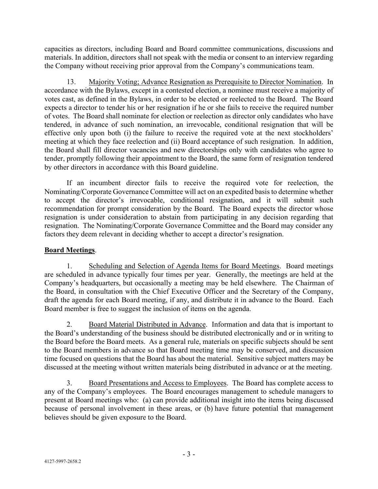capacities as directors, including Board and Board committee communications, discussions and materials. In addition, directors shall not speak with the media or consent to an interview regarding the Company without receiving prior approval from the Company's communications team.

13. Majority Voting; Advance Resignation as Prerequisite to Director Nomination. In accordance with the Bylaws, except in a contested election, a nominee must receive a majority of votes cast, as defined in the Bylaws, in order to be elected or reelected to the Board. The Board expects a director to tender his or her resignation if he or she fails to receive the required number of votes. The Board shall nominate for election or reelection as director only candidates who have tendered, in advance of such nomination, an irrevocable, conditional resignation that will be effective only upon both (i) the failure to receive the required vote at the next stockholders' meeting at which they face reelection and (ii) Board acceptance of such resignation. In addition, the Board shall fill director vacancies and new directorships only with candidates who agree to tender, promptly following their appointment to the Board, the same form of resignation tendered by other directors in accordance with this Board guideline.

If an incumbent director fails to receive the required vote for reelection, the Nominating/Corporate Governance Committee will act on an expedited basis to determine whether to accept the director's irrevocable, conditional resignation, and it will submit such recommendation for prompt consideration by the Board. The Board expects the director whose resignation is under consideration to abstain from participating in any decision regarding that resignation. The Nominating/Corporate Governance Committee and the Board may consider any factors they deem relevant in deciding whether to accept a director's resignation.

## **Board Meetings**.

1. Scheduling and Selection of Agenda Items for Board Meetings. Board meetings are scheduled in advance typically four times per year. Generally, the meetings are held at the Company's headquarters, but occasionally a meeting may be held elsewhere. The Chairman of the Board, in consultation with the Chief Executive Officer and the Secretary of the Company, draft the agenda for each Board meeting, if any, and distribute it in advance to the Board. Each Board member is free to suggest the inclusion of items on the agenda.

2. Board Material Distributed in Advance. Information and data that is important to the Board's understanding of the business should be distributed electronically and or in writing to the Board before the Board meets. As a general rule, materials on specific subjects should be sent to the Board members in advance so that Board meeting time may be conserved, and discussion time focused on questions that the Board has about the material. Sensitive subject matters may be discussed at the meeting without written materials being distributed in advance or at the meeting.

3. Board Presentations and Access to Employees. The Board has complete access to any of the Company's employees. The Board encourages management to schedule managers to present at Board meetings who: (a) can provide additional insight into the items being discussed because of personal involvement in these areas, or (b) have future potential that management believes should be given exposure to the Board.